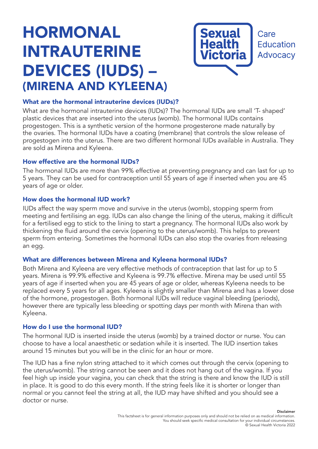# HORMONAL INTRAUTERINE DEVICES (IUDS) – (MIRENA AND KYLEENA)



## What are the hormonal intrauterine devices (IUDs)?

What are the hormonal intrauterine devices (IUDs)? The hormonal IUDs are small 'T- shaped' plastic devices that are inserted into the uterus (womb). The hormonal IUDs contains progestogen. This is a synthetic version of the hormone progesterone made naturally by the ovaries. The hormonal IUDs have a coating (membrane) that controls the slow release of progestogen into the uterus. There are two different hormonal IUDs available in Australia. They are sold as Mirena and Kyleena.

## How effective are the hormonal IUDs?

The hormonal IUDs are more than 99% effective at preventing pregnancy and can last for up to 5 years. They can be used for contraception until 55 years of age if inserted when you are 45 years of age or older.

## How does the hormonal IUD work?

IUDs affect the way sperm move and survive in the uterus (womb), stopping sperm from meeting and fertilising an egg. IUDs can also change the lining of the uterus, making it difficult for a fertilised egg to stick to the lining to start a pregnancy. The hormonal IUDs also work by thickening the fluid around the cervix (opening to the uterus/womb). This helps to prevent sperm from entering. Sometimes the hormonal IUDs can also stop the ovaries from releasing an egg.

## What are differences between Mirena and Kyleena hormonal IUDs?

Both Mirena and Kyleena are very effective methods of contraception that last for up to 5 years. Mirena is 99.9% effective and Kyleena is 99.7% effective. Mirena may be used until 55 years of age if inserted when you are 45 years of age or older, whereas Kyleena needs to be replaced every 5 years for all ages. Kyleena is slightly smaller than Mirena and has a lower dose of the hormone, progestogen. Both hormonal IUDs will reduce vaginal bleeding (periods), however there are typically less bleeding or spotting days per month with Mirena than with Kyleena.

## How do I use the hormonal IUD?

The hormonal IUD is inserted inside the uterus (womb) by a trained doctor or nurse. You can choose to have a local anaesthetic or sedation while it is inserted. The IUD insertion takes around 15 minutes but you will be in the clinic for an hour or more.

The IUD has a fine nylon string attached to it which comes out through the cervix (opening to the uterus/womb). The string cannot be seen and it does not hang out of the vagina. If you feel high up inside your vagina, you can check that the string is there and know the IUD is still in place. It is good to do this every month. If the string feels like it is shorter or longer than normal or you cannot feel the string at all, the IUD may have shifted and you should see a doctor or nurse.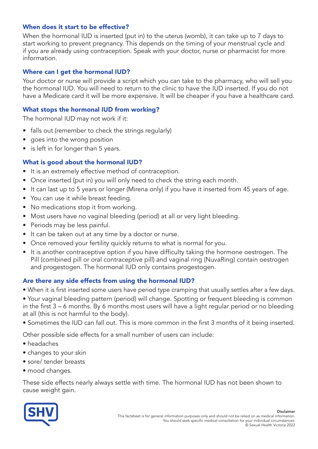# When does it start to be effective?

When the hormonal IUD is inserted (put in) to the uterus (womb), it can take up to 7 days to start working to prevent pregnancy. This depends on the timing of your menstrual cycle and if you are already using contraception. Speak with your doctor, nurse or pharmacist for more information.

## Where can I get the hormonal IUD?

Your doctor or nurse will provide a script which you can take to the pharmacy, who will sell you the hormonal IUD. You will need to return to the clinic to have the IUD inserted. If you do not have a Medicare card it will be more expensive. It will be cheaper if you have a healthcare card.

## What stops the hormonal IUD from working?

The hormonal IUD may not work if it:

- falls out (remember to check the strings regularly)
- goes into the wrong position
- is left in for longer than 5 years.

## What is good about the hormonal IUD?

- It is an extremely effective method of contraception.
- Once inserted (put in) you will only need to check the string each month.
- It can last up to 5 years or longer (Mirena only) if you have it inserted from 45 years of age.
- You can use it while breast feeding.
- No medications stop it from working.
- Most users have no vaginal bleeding (period) at all or very light bleeding.
- Periods may be less painful.
- It can be taken out at any time by a doctor or nurse.
- Once removed your fertility quickly returns to what is normal for you.
- It is another contraceptive option if you have difficulty taking the hormone oestrogen. The Pill (combined pill or oral contraceptive pill) and vaginal ring (NuvaRing) contain oestrogen and progestogen. The hormonal IUD only contains progestogen.

#### Are there any side effects from using the hormonal IUD?

- When it is first inserted some users have period type cramping that usually settles after a few days.
- Your vaginal bleeding pattern (period) will change. Spotting or frequent bleeding is common in the first 3 – 6 months. By 6 months most users will have a light regular period or no bleeding at all (this is not harmful to the body).
- Sometimes the IUD can fall out. This is more common in the first 3 months of it being inserted.

Other possible side effects for a small number of users can include:

- headaches
- changes to your skin
- sore/ tender breasts
- mood changes.

These side effects nearly always settle with time. The hormonal IUD has not been shown to cause weight gain.